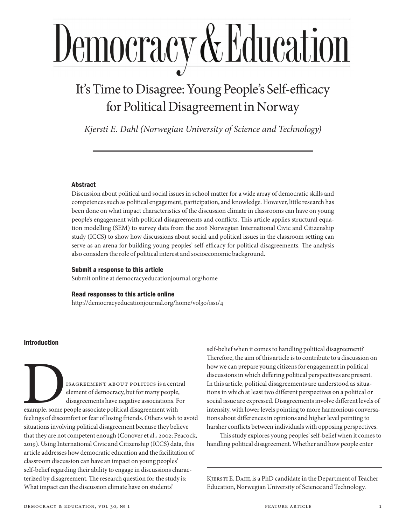# <u>Democracy & Education</u>

# It's Time to Disagree: Young People's Self-efficacy for Political Disagreement in Norway

*Kjersti E. Dahl (Norwegian University of Science and Technology)*

#### Abstract

Discussion about political and social issues in school matter for a wide array of democratic skills and competences such as political engagement, participation, and knowledge. However, little research has been done on what impact characteristics of the discussion climate in classrooms can have on young people's engagement with political disagreements and conflicts. This article applies structural equation modelling (SEM) to survey data from the 2016 Norwegian International Civic and Citizenship study (ICCS) to show how discussions about social and political issues in the classroom setting can serve as an arena for building young peoples' self-efficacy for political disagreements. The analysis also considers the role of political interest and socioeconomic background.

#### Submit a response to this article

Submit online at democracyeducationjournal.org/home

#### Read responses to this article online

http://democracyeducationjournal.org/home/vol30/iss1/4

#### Introduction

ISAGREEMENT ABOUT POLITICS is a central<br>element of democracy, but for many people,<br>disagreements have negative associations. For<br>example, some people associate political disagreement with<br>feelings of discomfort or fear of element of democracy, but for many people, disagreements have negative associations. For example, some people associate political disagreement with feelings of discomfort or fear of losing friends. Others wish to avoid situations involving political disagreement because they believe that they are not competent enough (Conover et al., 2002; Peacock, 2019). Using International Civic and Citizenship (ICCS) data, this article addresses how democratic education and the facilitation of classroom discussion can have an impact on young peoples' self-belief regarding their ability to engage in discussions characterized by disagreement. The research question for the study is: What impact can the discussion climate have on students'

self-belief when it comes to handling political disagreement? Therefore, the aim of this article is to contribute to a discussion on how we can prepare young citizens for engagement in political discussions in which differing political perspectives are present. In this article, political disagreements are understood as situations in which at least two different perspectives on a political or social issue are expressed. Disagreements involve different levels of intensity, with lower levels pointing to more harmonious conversations about differences in opinions and higher level pointing to harsher conflicts between individuals with opposing perspectives.

This study explores young peoples' self-belief when it comes to handling political disagreement. Whether and how people enter

KJERSTI E. DAHL is a PhD candidate in the Department of Teacher Education, Norwegian University of Science and Technology.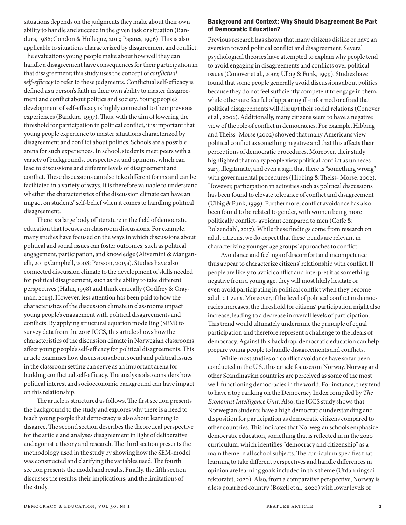situations depends on the judgments they make about their own ability to handle and succeed in the given task or situation (Bandura, 1986; Condon & Holleque, 2013; Pajares, 1996). This is also applicable to situations characterized by disagreement and conflict. The evaluations young people make about how well they can handle a disagreement have consequences for their participation in that disagreement; this study uses the concept of *conflictual self-efficacy* to refer to these judgments. Conflictual self-efficacy is defined as a person's faith in their own ability to master disagreement and conflict about politics and society. Young people's development of self-efficacy is highly connected to their previous experiences (Bandura, 1997). Thus, with the aim of lowering the threshold for participation in political conflict, it is important that young people experience to master situations characterized by disagreement and conflict about politics. Schools are a possible arena for such experiences. In school, students meet peers with a variety of backgrounds, perspectives, and opinions, which can lead to discussions and different levels of disagreement and conflict. These discussions can also take different forms and can be facilitated in a variety of ways. It is therefore valuable to understand whether the characteristics of the discussion climate can have an impact on students' self-belief when it comes to handling political disagreement.

There is a large body of literature in the field of democratic education that focuses on classroom discussions. For example, many studies have focused on the ways in which discussions about political and social issues can foster outcomes, such as political engagement, participation, and knowledge (Alivernini & Manganelli, 2011; Campbell, 2008; Persson, 2015a). Studies have also connected discussion climate to the development of skills needed for political disagreement, such as the ability to take different perspectives (Hahn, 1998) and think critically (Godfrey & Grayman, 2014). However, less attention has been paid to how the characteristics of the discussion climate in classrooms impact young people's engagement with political disagreements and conflicts. By applying structural equation modelling (SEM) to survey data from the 2016 ICCS, this article shows how the characteristics of the discussion climate in Norwegian classrooms affect young people's self-efficacy for political disagreements. This article examines how discussions about social and political issues in the classroom setting can serve as an important arena for building conflictual self-efficacy. The analysis also considers how political interest and socioeconomic background can have impact on this relationship.

The article is structured as follows. The first section presents the background to the study and explores why there is a need to teach young people that democracy is also about learning to disagree. The second section describes the theoretical perspective for the article and analyses disagreement in light of deliberative and agonistic theory and research. The third section presents the methodology used in the study by showing how the SEM-model was constructed and clarifying the variables used. The fourth section presents the model and results. Finally, the fifth section discusses the results, their implications, and the limitations of the study.

#### Background and Context: Why Should Disagreement Be Part of Democratic Education?

Previous research has shown that many citizens dislike or have an aversion toward political conflict and disagreement. Several psychological theories have attempted to explain why people tend to avoid engaging in disagreements and conflicts over political issues (Conover et al., 2002; Ulbig & Funk, 1999). Studies have found that some people generally avoid discussions about politics because they do not feel sufficiently competent to engage in them, while others are fearful of appearing ill- informed or afraid that political disagreements will disrupt their social relations (Conover et al., 2002). Additionally, many citizens seem to have a negative view of the role of conflict in democracies. For example, Hibbing and Theiss- Morse (2002) showed that many Americans view political conflict as something negative and that this affects their perceptions of democratic procedures. Moreover, their study highlighted that many people view political conflict as unnecessary, illegitimate, and even a sign that there is "something wrong" with governmental procedures (Hibbing & Theiss- Morse, 2002). However, participation in activities such as political discussions has been found to elevate tolerance of conflict and disagreement (Ulbig & Funk, 1999). Furthermore, conflict avoidance has also been found to be related to gender, with women being more politically conflict- avoidant compared to men (Coffé & Bolzendahl, 2017). While these findings come from research on adult citizens, we do expect that these trends are relevant in characterizing younger age groups' approaches to conflict.

Avoidance and feelings of discomfort and incompetence thus appear to characterize citizens' relationship with conflict. If people are likely to avoid conflict and interpret it as something negative from a young age, they will most likely hesitate or even avoid participating in political conflict when they become adult citizens. Moreover, if the level of political conflict in democracies increases, the threshold for citizens' participation might also increase, leading to a decrease in overall levels of participation. This trend would ultimately undermine the principle of equal participation and therefore represent a challenge to the ideals of democracy. Against this backdrop, democratic education can help prepare young people to handle disagreements and conflicts.

While most studies on conflict avoidance have so far been conducted in the U.S., this article focuses on Norway. Norway and other Scandinavian countries are perceived as some of the most well-functioning democracies in the world. For instance, they tend to have a top ranking on the Democracy Index compiled by *The Economist Intelligence Unit*. Also, the ICCS study shows that Norwegian students have a high democratic understanding and disposition for participation as democratic citizens compared to other countries. This indicates that Norwegian schools emphasize democratic education, something that is reflected in in the 2020 curriculum, which identifies "democracy and citizenship" as a main theme in all school subjects. The curriculum specifies that learning to take different perspectives and handle differences in opinion are learning goals included in this theme (Utdanningsdirektoratet, 2020). Also, from a comparative perspective, Norway is a less polarized country (Boxell et al., 2020) with lower levels of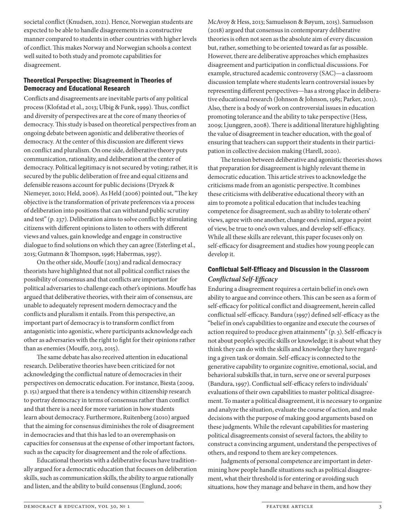societal conflict (Knudsen, 2021). Hence, Norwegian students are expected to be able to handle disagreements in a constructive manner compared to students in other countries with higher levels of conflict. This makes Norway and Norwegian schools a context well suited to both study and promote capabilities for disagreement.

#### Theoretical Perspective: Disagreement in Theories of Democracy and Educational Research

Conflicts and disagreements are inevitable parts of any political process (Klofstad et al., 2013; Ulbig & Funk, 1999). Thus, conflict and diversity of perspectives are at the core of many theories of democracy. This study is based on theoretical perspectives from an ongoing debate between agonistic and deliberative theories of democracy. At the center of this discussion are different views on conflict and pluralism. On one side, deliberative theory puts communication, rationality, and deliberation at the center of democracy. Political legitimacy is not secured by voting; rather, it is secured by the public deliberation of free and equal citizens and defensible reasons account for public decisions (Dryzek & Niemeyer, 2010; Held, 2006). As Held (2006) pointed out, "The key objective is the transformation of private preferences via a process of deliberation into positions that can withstand public scrutiny and test" (p. 237). Deliberation aims to solve conflict by stimulating citizens with different opinions to listen to others with different views and values, gain knowledge and engage in constructive dialogue to find solutions on which they can agree (Esterling et al., 2015; Gutmann & Thompson, 1996; Habermas, 1997).

On the other side, Mouffe (2013) and radical democracy theorists have highlighted that not all political conflict raises the possibility of consensus and that conflicts are important for political adversaries to challenge each other's opinions. Mouffe has argued that deliberative theories, with their aim of consensus, are unable to adequately represent modern democracy and the conflicts and pluralism it entails. From this perspective, an important part of democracy is to transform conflict from antagonistic into agonistic, where participants acknowledge each other as adversaries with the right to fight for their opinions rather than as enemies (Mouffe, 2013, 2015).

The same debate has also received attention in educational research. Deliberative theories have been criticized for not acknowledging the conflictual nature of democracies in their perspectives on democratic education. For instance, Biesta (2009, p. 151) argued that there is a tendency within citizenship research to portray democracy in terms of consensus rather than conflict and that there is a need for more variation in how students learn about democracy. Furthermore, Ruitenberg (2010) argued that the aiming for consensus diminishes the role of disagreement in democracies and that this has led to an overemphasis on capacities for consensus at the expense of other important factors, such as the capacity for disagreement and the role of affections.

Educational theorists with a deliberative focus have traditionally argued for a democratic education that focuses on deliberation skills, such as communication skills, the ability to argue rationally and listen, and the ability to build consensus (Englund, 2006;

McAvoy & Hess, 2013; Samuelsson & Bøyum, 2015). Samuelsson (2018) argued that consensus in contemporary deliberative theories is often not seen as the absolute aim of every discussion but, rather, something to be oriented toward as far as possible. However, there are deliberative approaches which emphasizes disagreement and participation in conflictual discussions. For example, structured academic controversy (SAC)—a classroom discussion template where students learn controversial issues by representing different perspectives—has a strong place in deliberative educational research (Johnson & Johnson, 1985; Parker, 2011). Also, there is a body of work on controversial issues in education promoting tolerance and the ability to take perspective (Hess, 2009; Ljunggren, 2008). There is additional literature highlighting the value of disagreement in teacher education, with the goal of ensuring that teachers can support their students in their participation in collective decision making (Harell, 2020).

The tension between deliberative and agonistic theories shows that preparation for disagreement is highly relevant theme in democratic education. This article strives to acknowledge the criticisms made from an agonistic perspective. It combines these criticisms with deliberative educational theory with an aim to promote a political education that includes teaching competence for disagreement, such as ability to tolerate others' views, agree with one another, change one's mind, argue a point of view, be true to one's own values, and develop self-efficacy. While all these skills are relevant, this paper focuses only on self-efficacy for disagreement and studies how young people can develop it.

# Conflictual Self-Efficacy and Discussion in the Classroom *Conflictual Self-Efficacy*

Enduring a disagreement requires a certain belief in one's own ability to argue and convince others. This can be seen as a form of self-efficacy for political conflict and disagreement, herein called conflictual self-efficacy. Bandura (1997) defined self-efficacy as the "belief in one's capabilities to organize and execute the courses of action required to produce given attainments" (p. 3). Self-efficacy is not about people's specific skills or knowledge; it is about what they think they can do with the skills and knowledge they have regarding a given task or domain. Self-efficacy is connected to the generative capability to organize cognitive, emotional, social, and behavioral subskills that, in turn, serve one or several purposes (Bandura, 1997). Conflictual self-efficacy refers to individuals' evaluations of their own capabilities to master political disagreement. To master a political disagreement, it is necessary to organize and analyze the situation, evaluate the course of action, and make decisions with the purpose of making good arguments based on these judgments. While the relevant capabilities for mastering political disagreements consist of several factors, the ability to construct a convincing argument, understand the perspectives of others, and respond to them are key competences.

Judgments of personal competence are important in determining how people handle situations such as political disagreement, what their threshold is for entering or avoiding such situations, how they manage and behave in them, and how they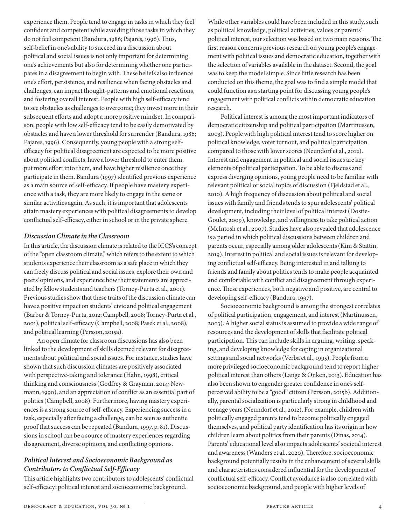experience them. People tend to engage in tasks in which they feel confident and competent while avoiding those tasks in which they do not feel competent (Bandura, 1986; Pajares, 1996). Thus, self-belief in one's ability to succeed in a discussion about political and social issues is not only important for determining one's achievements but also for determining whether one participates in a disagreement to begin with. These beliefs also influence one's effort, persistence, and resilience when facing obstacles and challenges, can impact thought-patterns and emotional reactions, and fostering overall interest. People with high self-efficacy tend to see obstacles as challenges to overcome; they invest more in their subsequent efforts and adopt a more positive mindset. In comparison, people with low self-efficacy tend to be easily demotivated by obstacles and have a lower threshold for surrender (Bandura, 1986; Pajares, 1996). Consequently, young people with a strong selfefficacy for political disagreement are expected to be more positive about political conflicts, have a lower threshold to enter them, put more effort into them, and have higher resilience once they participate in them. Bandura (1997) identified previous experience as a main source of self-efficacy. If people have mastery experience with a task, they are more likely to engage in the same or similar activities again. As such, it is important that adolescents attain mastery experiences with political disagreements to develop conflictual self-efficacy, either in school or in the private sphere.

#### *Discussion Climate in the Classroom*

In this article, the discussion climate is related to the ICCS's concept of the "open classroom climate," which refers to the extent to which students experience their classroom as a safe place in which they can freely discuss political and social issues, explore their own and peers' opinions, and experience how their statements are appreciated by fellow students and teachers (Torney-Purta et al., 2001). Previous studies show that these traits of the discussion climate can have a positive impact on students' civic and political engagement (Barber & Torney-Purta, 2012; Campbell, 2008; Torney-Purta et al., 2001), political self-efficacy (Campbell, 2008; Pasek et al., 2008), and political learning (Persson, 2015a).

An open climate for classroom discussions has also been linked to the development of skills deemed relevant for disagreements about political and social issues. For instance, studies have shown that such discussion climates are positively associated with perspective-taking and tolerance (Hahn, 1998), critical thinking and consciousness (Godfrey & Grayman, 2014; Newmann, 1990), and an appreciation of conflict as an essential part of politics (Campbell, 2008). Furthermore, having mastery experiences is a strong source of self-efficacy. Experiencing success in a task, especially after facing a challenge, can be seen as authentic proof that success can be repeated (Bandura, 1997, p. 81). Discussions in school can be a source of mastery experiences regarding disagreement, diverse opinions, and conflicting opinions.

#### *Political Interest and Socioeconomic Background as Contributors to Conflictual Self-Efficacy*

This article highlights two contributors to adolescents' conflictual self-efficacy: political interest and socioeconomic background.

While other variables could have been included in this study, such as political knowledge, political activities, values or parents' political interest, our selection was based on two main reasons. The first reason concerns previous research on young people's engagement with political issues and democratic education, together with the selection of variables available in the dataset. Second, the goal was to keep the model simple. Since little research has been conducted on this theme, the goal was to find a simple model that could function as a starting point for discussing young people's engagement with political conflicts within democratic education research.

Political interest is among the most important indicators of democratic citizenship and political participation (Martinussen, 2003). People with high political interest tend to score higher on political knowledge, voter turnout, and political participation compared to those with lower scores (Neundorf et al., 2012). Interest and engagement in political and social issues are key elements of political participation. To be able to discuss and express diverging opinions, young people need to be familiar with relevant political or social topics of discussion (Fjeldstad et al., 2010). A high frequency of discussion about political and social issues with family and friends tends to spur adolescents' political development, including their level of political interest (Dostie-Goulet, 2009), knowledge, and willingness to take political action (McIntosh et al., 2007). Studies have also revealed that adolescence is a period in which political discussions between children and parents occur, especially among older adolescents (Kim & Stattin, 2019). Interest in political and social issues is relevant for developing conflictual self-efficacy. Being interested in and talking to friends and family about politics tends to make people acquainted and comfortable with conflict and disagreement through experience. These experiences, both negative and positive, are central to developing self-efficacy (Bandura, 1997).

Socioeconomic background is among the strongest correlates of political participation, engagement, and interest (Martinussen, 2003). A higher social status is assumed to provide a wide range of resources and the development of skills that facilitate political participation. This can include skills in arguing, writing, speaking, and developing knowledge for coping in organizational settings and social networks (Verba et al., 1995). People from a more privileged socioeconomic background tend to report higher political interest than others (Lange & Onken, 2013). Education has also been shown to engender greater confidence in one's selfperceived ability to be a "good" citizen (Persson, 2015b). Additionally, parental socialization is particularly strong in childhood and teenage years (Neundorf et al., 2012). For example, children with politically engaged parents tend to become politically engaged themselves, and political party identification has its origin in how children learn about politics from their parents (Dinas, 2014). Parents' educational level also impacts adolescents' societal interest and awareness (Wanders et al., 2020). Therefore, socioeconomic background potentially results in the enhancement of several skills and characteristics considered influential for the development of conflictual self-efficacy. Conflict avoidance is also correlated with socioeconomic background, and people with higher levels of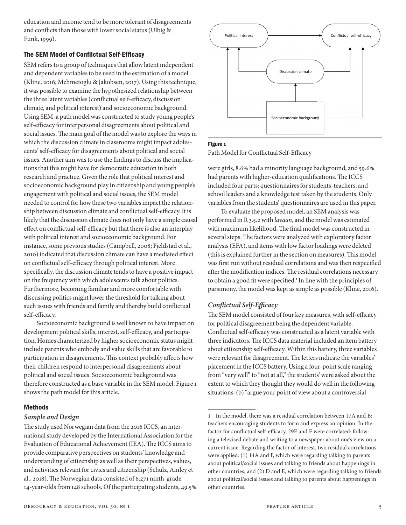education and income tend to be more tolerant of disagreements and conflicts than those with lower social status (Ulbig  $\&$ Funk, 1999).

### The SEM Model of Conflictual Self-Efficacy

SEM refers to a group of techniques that allow latent independent and dependent variables to be used in the estimation of a model (Kline, 2016; Mehmetoglu & Jakobsen, 2017). Using this technique, it was possible to examine the hypothesized relationship between the three latent variables (conflictual self-efficacy, discussion climate, and political interest) and socioeconomic background. Using SEM, a path model was constructed to study young people's self-efficacy for interpersonal disagreements about political and social issues. The main goal of the model was to explore the ways in which the discussion climate in classrooms might impact adolescents' self-efficacy for disagreements about political and social issues. Another aim was to use the findings to discuss the implications that this might have for democratic education in both research and practice. Given the role that political interest and socioeconomic background play in citizenship and young people's engagement with political and social issues, the SEM model needed to control for how these two variables impact the relationship between discussion climate and conflictual self-efficacy. It is likely that the discussion climate does not only have a simple causal effect on conflictual self-efficacy but that there is also an interplay with political interest and socioeconomic background. For instance, some previous studies (Campbell, 2008; Fjeldstad et al., 2010) indicated that discussion climate can have a mediated effect on conflictual self-efficacy through political interest. More specifically, the discussion climate tends to have a positive impact on the frequency with which adolescents talk about politics. Furthermore, becoming familiar and more comfortable with discussing politics might lower the threshold for talking about such issues with friends and family and thereby build conflictual self-efficacy.

Socioeconomic background is well known to have impact on development political skills, interest, self-efficacy, and participation. Homes characterized by higher socioeconomic status might include parents who embody and value skills that are favorable to participation in disagreements. This context probably affects how their children respond to interpersonal disagreements about political and social issues. Socioeconomic background was therefore constructed as a base variable in the SEM model. Figure 1 shows the path model for this article.

#### Methods

#### *Sample and Design*

The study used Norwegian data from the 2016 ICCS, an international study developed by the International Association for the Evaluation of Educational Achievement (IEA). The ICCS aims to provide comparative perspectives on students' knowledge and understanding of citizenship as well as their perspectives, values, and activities relevant for civics and citizenship (Schulz, Ainley et al., 2018). The Norwegian data consisted of 6,271 ninth-grade 14- year- olds from 148 schools. Of the participating students, 49.5%



#### Figure <sub>1</sub>

Path Model for Conflictual Self-Efficacy

were girls, 8.6% had a minority language background, and 59.6% had parents with higher-education qualifications. The ICCS included four parts: questionnaires for students, teachers, and school leaders and a knowledge test taken by the students. Only variables from the students' questionnaires are used in this paper.

To evaluate the proposed model, an SEM analysis was performed in R 3.5.2 with *lavaan*, and the model was estimated with maximum likelihood. The final model was constructed in several steps. The factors were analyzed with exploratory factor analysis (EFA), and items with low factor loadings were deleted (this is explained further in the section on measures). This model was first run without residual correlations and was then respecified after the modification indices. The residual correlations necessary to obtain a good fit were specified.<sup>1</sup> In line with the principles of parsimony, the model was kept as simple as possible (Kline, 2016).

## *Confl ictual Self- Effi cacy*

The SEM model consisted of four key measures, with self-efficacy for political disagreement being the dependent variable. Conflictual self-efficacy was constructed as a latent variable with three indicators. The ICCS data material included an item battery about citizenship self-efficacy. Within this battery, three variables were relevant for disagreement. The letters indicate the variables' placement in the ICCS battery. Using a four- point scale ranging from "very well" to "not at all," the students' were asked about the extent to which they thought they would do well in the following situations: (b) "argue your point of view about a controversial

<sup>1</sup> In the model, there was a residual correlation between 17A and B: teachers encouraging students to form and express an opinion. In the factor for conflictual self-efficacy, 29E and F were correlated: following a televised debate and writing to a newspaper about one's view on a current issue. Regarding the factor of interest, two residual correlations were applied: (1) 14A and F, which were regarding talking to parents about political/social issues and talking to friends about happenings in other countries; and (2) D and E, which were regarding talking to friends about political/social issues and talking to parents about happenings in other countries.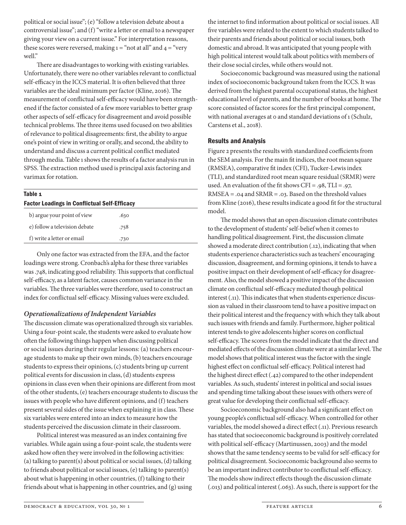political or social issue"; (e) "follow a television debate about a controversial issue"; and (f) "write a letter or email to a newspaper giving your view on a current issue." For interpretation reasons, these scores were reversed, making  $1 =$  "not at all" and  $4 =$  "very" well."

There are disadvantages to working with existing variables. Unfortunately, there were no other variables relevant to conflictual self-efficacy in the ICCS material. It is often believed that three variables are the ideal minimum per factor (Kline, 2016). The measurement of conflictual self-efficacy would have been strengthened if the factor consisted of a few more variables to better grasp other aspects of self-efficacy for disagreement and avoid possible technical problems. The three items used focused on two abilities of relevance to political disagreements: first, the ability to argue one's point of view in writing or orally, and second, the ability to understand and discuss a current political conflict mediated through media. Table 1 shows the results of a factor analysis run in SPSS. The extraction method used is principal axis factoring and varimax for rotation.

#### Table 1

| <b>Factor Loadings in Conflictual Self-Efficacy</b> |      |  |
|-----------------------------------------------------|------|--|
| b) argue your point of view                         | .630 |  |
| e) follow a television debate                       | .758 |  |
| f) write a letter or email                          | .730 |  |
|                                                     |      |  |

Only one factor was extracted from the EFA, and the factor loadings were strong. Cronbach's alpha for these three variables was .748, indicating good reliability. This supports that conflictual self-efficacy, as a latent factor, causes common variance in the variables. The three variables were therefore, used to construct an index for conflictual self-efficacy. Missing values were excluded.

#### *Operationalizations of Independent Variables*

The discussion climate was operationalized through six variables. Using a four-point scale, the students were asked to evaluate how often the following things happen when discussing political or social issues during their regular lessons: (a) teachers encourage students to make up their own minds, (b) teachers encourage students to express their opinions, (c) students bring up current political events for discussion in class, (d) students express opinions in class even when their opinions are different from most of the other students, (e) teachers encourage students to discuss the issues with people who have different opinions, and (f) teachers present several sides of the issue when explaining it in class. These six variables were entered into an index to measure how the students perceived the discussion climate in their classroom.

Political interest was measured as an index containing five variables. While again using a four-point scale, the students were asked how often they were involved in the following activities: (a) talking to parent(s) about political or social issues, (d) talking to friends about political or social issues, (e) talking to parent(s) about what is happening in other countries, (f) talking to their friends about what is happening in other countries, and (g) using the internet to find information about political or social issues. All five variables were related to the extent to which students talked to their parents and friends about political or social issues, both domestic and abroad. It was anticipated that young people with high political interest would talk about politics with members of their close social circles, while others would not.

Socioeconomic background was measured using the national index of socioeconomic background taken from the ICCS. It was derived from the highest parental occupational status, the highest educational level of parents, and the number of books at home. The score consisted of factor scores for the first principal component, with national averages at 0 and standard deviations of 1 (Schulz, Carstens et al., 2018).

#### Results and Analysis

Figure 2 presents the results with standardized coefficients from the SEM analysis. For the main fit indices, the root mean square (RMSEA), comparative fit index (CFI), Tucker-Lewis index (TLI), and standardized root mean square residual (SRMR) were used. An evaluation of the fit shows CFI =  $.98$ , TLI =  $.97$ , RMSEA = .04 and SRMR = .03. Based on the threshold values from Kline (2016), these results indicate a good fit for the structural model.

The model shows that an open discussion climate contributes to the development of students' self-belief when it comes to handling political disagreement. First, the discussion climate showed a moderate direct contribution (.12), indicating that when students experience characteristics such as teachers' encouraging discussion, disagreement, and forming opinions, it tends to have a positive impact on their development of self-efficacy for disagreement. Also, the model showed a positive impact of the discussion climate on conflictual self-efficacy mediated though political interest (.11). This indicates that when students experience discussion as valued in their classroom tend to have a positive impact on their political interest and the frequency with which they talk about such issues with friends and family. Furthermore, higher political interest tends to give adolescents higher scores on conflictual self-efficacy. The scores from the model indicate that the direct and mediated effects of the discussion climate were at a similar level. The model shows that political interest was the factor with the single highest effect on conflictual self-efficacy. Political interest had the highest direct effect (.42) compared to the other independent variables. As such, students' interest in political and social issues and spending time talking about these issues with others were of great value for developing their conflictual self-efficacy.

Socioeconomic background also had a significant effect on young people's conflictual self-efficacy. When controlled for other variables, the model showed a direct effect (.11). Previous research has stated that socioeconomic background is positively correlated with political self-efficacy (Martinussen, 2003) and the model shows that the same tendency seems to be valid for self-efficacy for political disagreement. Socioeconomic background also seems to be an important indirect contributor to conflictual self-efficacy. The models show indirect effects though the discussion climate (.013) and political interest (.063). As such, there is support for the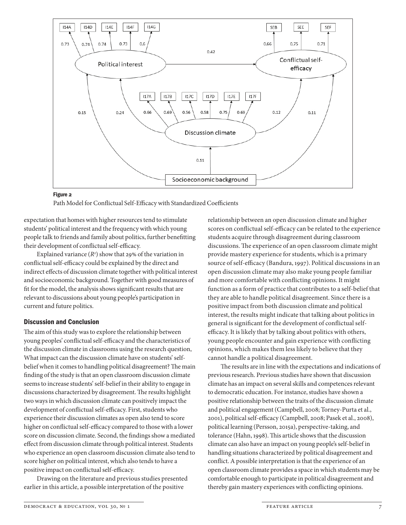

#### Figure 2

Path Model for Conflictual Self-Efficacy with Standardized Coefficients

expectation that homes with higher resources tend to stimulate students' political interest and the frequency with which young people talk to friends and family about politics, further benefitting their development of conflictual self-efficacy.

Explained variance (*R2* ) show that 29% of the variation in conflictual self-efficacy could be explained by the direct and indirect effects of discussion climate together with political interest and socioeconomic background. Together with good measures of fit for the model, the analysis shows significant results that are relevant to discussions about young people's participation in current and future politics.

#### Discussion and Conclusion

The aim of this study was to explore the relationship between young peoples' conflictual self-efficacy and the characteristics of the discussion climate in classrooms using the research question, What impact can the discussion climate have on students' selfbelief when it comes to handling political disagreement? The main finding of the study is that an open classroom discussion climate seems to increase students' self-belief in their ability to engage in discussions characterized by disagreement. The results highlight two ways in which discussion climate can positively impact the development of conflictual self-efficacy. First, students who experience their discussion climates as open also tend to score higher on conflictual self-efficacy compared to those with a lower score on discussion climate. Second, the findings show a mediated effect from discussion climate through political interest. Students who experience an open classroom discussion climate also tend to score higher on political interest, which also tends to have a positive impact on conflictual self-efficacy.

Drawing on the literature and previous studies presented earlier in this article, a possible interpretation of the positive

relationship between an open discussion climate and higher scores on conflictual self-efficacy can be related to the experience students acquire through disagreement during classroom discussions. The experience of an open classroom climate might provide mastery experience for students, which is a primary source of self-efficacy (Bandura, 1997). Political discussions in an open discussion climate may also make young people familiar and more comfortable with conflicting opinions. It might function as a form of practice that contributes to a self-belief that they are able to handle political disagreement. Since there is a positive impact from both discussion climate and political interest, the results might indicate that talking about politics in general is significant for the development of conflictual selfefficacy. It is likely that by talking about politics with others, young people encounter and gain experience with conflicting opinions, which makes them less likely to believe that they cannot handle a political disagreement.

The results are in line with the expectations and indications of previous research. Previous studies have shown that discussion climate has an impact on several skills and competences relevant to democratic education. For instance, studies have shown a positive relationship between the traits of the discussion climate and political engagement (Campbell, 2008; Torney-Purta et al., 2001), political self-efficacy (Campbell, 2008; Pasek et al., 2008), political learning (Persson, 2015a), perspective-taking, and tolerance (Hahn, 1998). This article shows that the discussion climate can also have an impact on young people's self-belief in handling situations characterized by political disagreement and conflict. A possible interpretation is that the experience of an open classroom climate provides a space in which students may be comfortable enough to participate in political disagreement and thereby gain mastery experiences with conflicting opinions.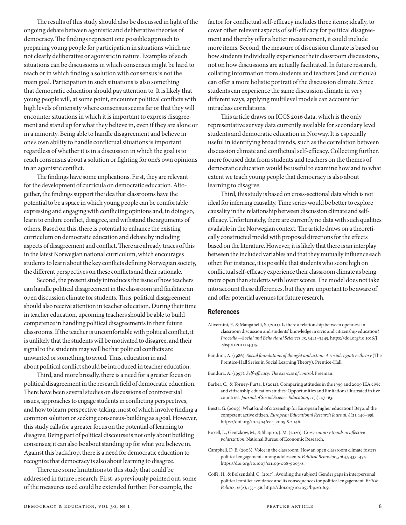The results of this study should also be discussed in light of the ongoing debate between agonistic and deliberative theories of democracy. The findings represent one possible approach to preparing young people for participation in situations which are not clearly deliberative or agonistic in nature. Examples of such situations can be discussions in which consensus might be hard to reach or in which finding a solution with consensus is not the main goal. Participation in such situations is also something that democratic education should pay attention to. It is likely that young people will, at some point, encounter political conflicts with high levels of intensity where consensus seems far or that they will encounter situations in which it is important to express disagreement and stand up for what they believe in, even if they are alone or in a minority. Being able to handle disagreement and believe in one's own ability to handle conflictual situations is important regardless of whether it is in a discussion in which the goal is to reach consensus about a solution or fighting for one's own opinions in an agonistic conflict.

The findings have some implications. First, they are relevant for the development of curricula on democratic education. Altogether, the findings support the idea that classrooms have the potential to be a space in which young people can be comfortable expressing and engaging with conflicting opinions and, in doing so, learn to endure conflict, disagree, and withstand the arguments of others. Based on this, there is potential to enhance the existing curriculum on democratic education and debate by including aspects of disagreement and conflict. There are already traces of this in the latest Norwegian national curriculum, which encourages students to learn about the key conflicts defining Norwegian society, the different perspectives on these conflicts and their rationale.

Second, the present study introduces the issue of how teachers can handle political disagreement in the classroom and facilitate an open discussion climate for students. Thus, political disagreement should also receive attention in teacher education. During their time in teacher education, upcoming teachers should be able to build competence in handling political disagreements in their future classrooms. If the teacher is uncomfortable with political conflict, it is unlikely that the students will be motivated to disagree, and their signal to the students may well be that political conflicts are unwanted or something to avoid. Thus, education in and about political conflict should be introduced in teacher education.

Third, and more broadly, there is a need for a greater focus on political disagreement in the research field of democratic education. There have been several studies on discussions of controversial issues, approaches to engage students in conflicting perspectives, and how to learn perspective-taking, most of which involve finding a common solution or seeking consensus-building as a goal. However, this study calls for a greater focus on the potential of learning to disagree. Being part of political discourse is not only about building consensus; it can also be about standing up for what you believe in. Against this backdrop, there is a need for democratic education to recognize that democracy is also about learning to disagree.

There are some limitations to this study that could be addressed in future research. First, as previously pointed out, some of the measures used could be extended further. For example, the

factor for conflictual self-efficacy includes three items; ideally, to cover other relevant aspects of self-efficacy for political disagreement and thereby offer a better measurement, it could include more items. Second, the measure of discussion climate is based on how students individually experience their classroom discussions, not on how discussions are actually facilitated. In future research, collating information from students and teachers (and curricula) can offer a more holistic portrait of the discussion climate. Since students can experience the same discussion climate in very different ways, applying multilevel models can account for intraclass correlations.

This article draws on ICCS 2016 data, which is the only representative survey data currently available for secondary level students and democratic education in Norway. It is especially useful in identifying broad trends, such as the correlation between discussion climate and conflictual self-efficacy. Collecting further, more focused data from students and teachers on the themes of democratic education would be useful to examine how and to what extent we teach young people that democracy is also about learning to disagree.

Third, this study is based on cross-sectional data which is not ideal for inferring causality. Time series would be better to explore causality in the relationship between discussion climate and selfefficacy. Unfortunately, there are currently no data with such qualities available in the Norwegian context. The article draws on a theoretically constructed model with proposed directions for the effects based on the literature. However, it is likely that there is an interplay between the included variables and that they mutually influence each other. For instance, it is possible that students who score high on conflictual self-efficacy experience their classroom climate as being more open than students with lower scores. The model does not take into account these differences, but they are important to be aware of and offer potential avenues for future research.

#### References

- Alivernini, F., & Manganelli, S. (2011). Is there a relationship between openness in classroom discussion and students' knowledge in civic and citizenship education? *Procedia—Social and Behavioral Sciences*, *15*, 3441–3445. https://doi.org/10.1016/j .sbspro.2011.04.315.
- Bandura, A. (1986). *Social foundations of thought and action: A social cognitive theory* (The Prentice-Hall Series in Social Learning Theory). Prentice-Hall.
- Bandura, A. (1997). *Self-efficacy: The exercise of control*. Freeman.
- Barber, C., & Torney-Purta, J. (2012). Comparing attitudes in the 1999 and 2009 IEA civic and citizenship education studies: Opportunities and limitations illustrated in five countries. *Journal of Social Science Education*, *11*(1), 47–63.
- Biesta, G. (2009). What kind of citizenship for European higher education? Beyond the competent active citizen. *European Educational Research Journal*, *8*(2), 146–158. https://doi.org/10.2304/eerj.2009.8.2.146.
- Boxell, L., Gentzkow, M., & Shapiro, J. M. (2020). *Cross-country trends in affective polarization*. National Bureau of Economic Research.
- Campbell, D. E. (2008). Voice in the classroom: How an open classroom climate fosters political engagement among adolescents. *Political Behavior*, *30*(4), 437–454. https://doi.org/10.1007/s11109-008-9063-z.
- Coffé, H., & Bolzendahl, C. (2017). Avoiding the subject? Gender gaps in interpersonal political conflict avoidance and its consequences for political engagement. *British Politics*, *12*(2), 135–156. https://doi.org/10.1057/bp.2016.9.